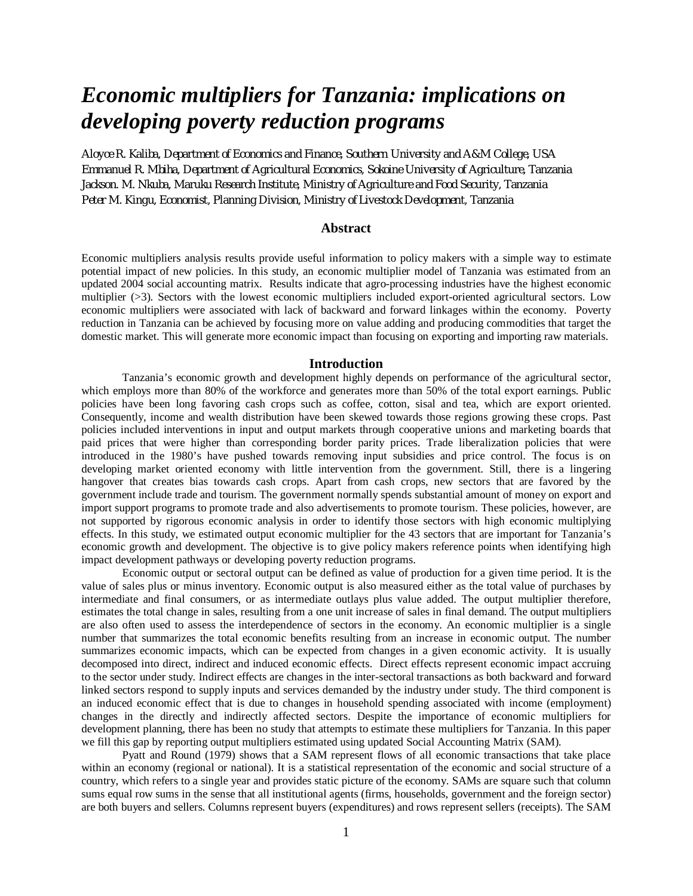# *Economic multipliers for Tanzania: implications on developing poverty reduction programs*

*Aloyce R. Kaliba, Department of Economics and Finance, Southern University and A&M College, USA Emmanuel R. Mbiha, Department of Agricultural Economics, Sokoine University of Agriculture, Tanzania Jackson. M. Nkuba, Maruku Research Institute, Ministry of Agriculture and Food Security, Tanzania Peter M. Kingu, Economist, Planning Division, Ministry of Livestock Development, Tanzania*

## **Abstract**

Economic multipliers analysis results provide useful information to policy makers with a simple way to estimate potential impact of new policies. In this study, an economic multiplier model of Tanzania was estimated from an updated 2004 social accounting matrix. Results indicate that agro-processing industries have the highest economic multiplier (>3). Sectors with the lowest economic multipliers included export-oriented agricultural sectors. Low economic multipliers were associated with lack of backward and forward linkages within the economy. Poverty reduction in Tanzania can be achieved by focusing more on value adding and producing commodities that target the domestic market. This will generate more economic impact than focusing on exporting and importing raw materials.

## **Introduction**

Tanzania's economic growth and development highly depends on performance of the agricultural sector, which employs more than 80% of the workforce and generates more than 50% of the total export earnings. Public policies have been long favoring cash crops such as coffee, cotton, sisal and tea, which are export oriented. Consequently, income and wealth distribution have been skewed towards those regions growing these crops. Past policies included interventions in input and output markets through cooperative unions and marketing boards that paid prices that were higher than corresponding border parity prices. Trade liberalization policies that were introduced in the 1980's have pushed towards removing input subsidies and price control. The focus is on developing market oriented economy with little intervention from the government. Still, there is a lingering hangover that creates bias towards cash crops. Apart from cash crops, new sectors that are favored by the government include trade and tourism. The government normally spends substantial amount of money on export and import support programs to promote trade and also advertisements to promote tourism. These policies, however, are not supported by rigorous economic analysis in order to identify those sectors with high economic multiplying effects. In this study, we estimated output economic multiplier for the 43 sectors that are important for Tanzania's economic growth and development. The objective is to give policy makers reference points when identifying high impact development pathways or developing poverty reduction programs.

Economic output or sectoral output can be defined as value of production for a given time period. It is the value of sales plus or minus inventory. Economic output is also measured either as the total value of purchases by intermediate and final consumers, or as intermediate outlays plus value added. The output multiplier therefore, estimates the total change in sales, resulting from a one unit increase of sales in final demand. The output multipliers are also often used to assess the interdependence of sectors in the economy. An economic multiplier is a single number that summarizes the total economic benefits resulting from an increase in economic output. The number summarizes economic impacts, which can be expected from changes in a given economic activity. It is usually decomposed into direct, indirect and induced economic effects. Direct effects represent economic impact accruing to the sector under study. Indirect effects are changes in the inter-sectoral transactions as both backward and forward linked sectors respond to supply inputs and services demanded by the industry under study. The third component is an induced economic effect that is due to changes in household spending associated with income (employment) changes in the directly and indirectly affected sectors. Despite the importance of economic multipliers for development planning, there has been no study that attempts to estimate these multipliers for Tanzania. In this paper we fill this gap by reporting output multipliers estimated using updated Social Accounting Matrix (SAM).

Pyatt and Round (1979) shows that a SAM represent flows of all economic transactions that take place within an economy (regional or national). It is a statistical representation of the economic and social structure of a country, which refers to a single year and provides static picture of the economy. SAMs are square such that column sums equal row sums in the sense that all institutional agents (firms, households, government and the foreign sector) are both buyers and sellers. Columns represent buyers (expenditures) and rows represent sellers (receipts). The SAM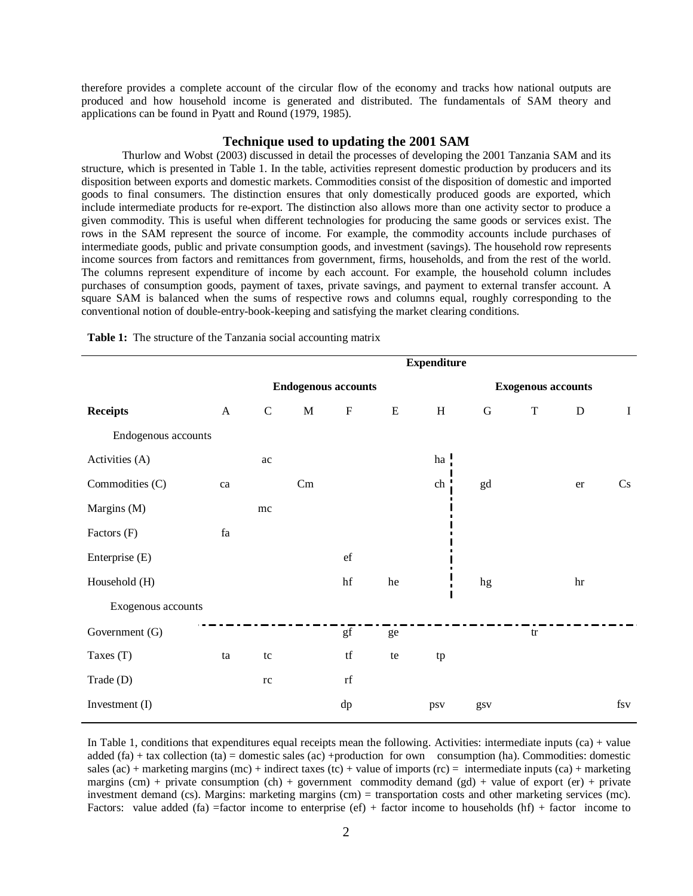therefore provides a complete account of the circular flow of the economy and tracks how national outputs are produced and how household income is generated and distributed. The fundamentals of SAM theory and applications can be found in Pyatt and Round (1979, 1985).

## **Technique used to updating the 2001 SAM**

Thurlow and Wobst (2003) discussed in detail the processes of developing the 2001 Tanzania SAM and its structure, which is presented in Table 1. In the table, activities represent domestic production by producers and its disposition between exports and domestic markets. Commodities consist of the disposition of domestic and imported goods to final consumers. The distinction ensures that only domestically produced goods are exported, which include intermediate products for re-export. The distinction also allows more than one activity sector to produce a given commodity. This is useful when different technologies for producing the same goods or services exist. The rows in the SAM represent the source of income. For example, the commodity accounts include purchases of intermediate goods, public and private consumption goods, and investment (savings). The household row represents income sources from factors and remittances from government, firms, households, and from the rest of the world. The columns represent expenditure of income by each account. For example, the household column includes purchases of consumption goods, payment of taxes, private savings, and payment to external transfer account. A square SAM is balanced when the sums of respective rows and columns equal, roughly corresponding to the conventional notion of double-entry-book-keeping and satisfying the market clearing conditions.

|                     | <b>Expenditure</b> |                            |             |                         |           |              |                           |             |             |          |
|---------------------|--------------------|----------------------------|-------------|-------------------------|-----------|--------------|---------------------------|-------------|-------------|----------|
|                     |                    | <b>Endogenous accounts</b> |             |                         |           |              | <b>Exogenous accounts</b> |             |             |          |
| <b>Receipts</b>     | $\mathbf{A}$       | $\mathbf C$                | $\mathbf M$ | $\mathbf F$             | ${\bf E}$ | $\, {\rm H}$ | ${\bf G}$                 | $\mathbf T$ | $\mathbf D$ | $\bf{I}$ |
| Endogenous accounts |                    |                            |             |                         |           |              |                           |             |             |          |
| Activities (A)      |                    | $\rm ac$                   |             |                         |           | ha           |                           |             |             |          |
| Commodities (C)     | ca                 |                            | $\rm{Cm}$   |                         |           | ch           | gd                        |             | er          | Cs       |
| Margins (M)         |                    | mc                         |             |                         |           |              |                           |             |             |          |
| Factors (F)         | fa                 |                            |             |                         |           |              |                           |             |             |          |
| Enterprise (E)      |                    |                            |             | $\operatorname{\sf ef}$ |           |              |                           |             |             |          |
| Household (H)       |                    |                            |             | $\operatorname{hf}$     | he        |              | hg                        |             | hr          |          |
| Exogenous accounts  |                    |                            |             |                         |           |              |                           |             |             |          |
| Government (G)      |                    |                            |             | gf                      | ge        |              |                           | tr          |             |          |
| Taxes $(T)$         | ta                 | tc                         |             | $\mathop{\mathrm{tf}}$  | te        | tp           |                           |             |             |          |
| Trade (D)           |                    | rc                         |             | $^{\rm rf}$             |           |              |                           |             |             |          |
| Investment (I)      |                    |                            |             | dp                      |           | psv          | gsv                       |             |             | $f_{SV}$ |

**Table 1:** The structure of the Tanzania social accounting matrix

In Table 1, conditions that expenditures equal receipts mean the following. Activities: intermediate inputs (ca) + value added  $(fa) + tax$  collection  $(ta) =$  domestic sales  $(ac) +product$  for own consumption  $(ha)$ . Commodities: domestic sales (ac) + marketing margins (mc) + indirect taxes (tc) + value of imports (rc) = intermediate inputs (ca) + marketing margins (cm) + private consumption (ch) + government commodity demand (gd) + value of export (er) + private investment demand (cs). Margins: marketing margins (cm) = transportation costs and other marketing services (mc). Factors: value added (fa) =factor income to enterprise (ef) + factor income to households (hf) + factor income to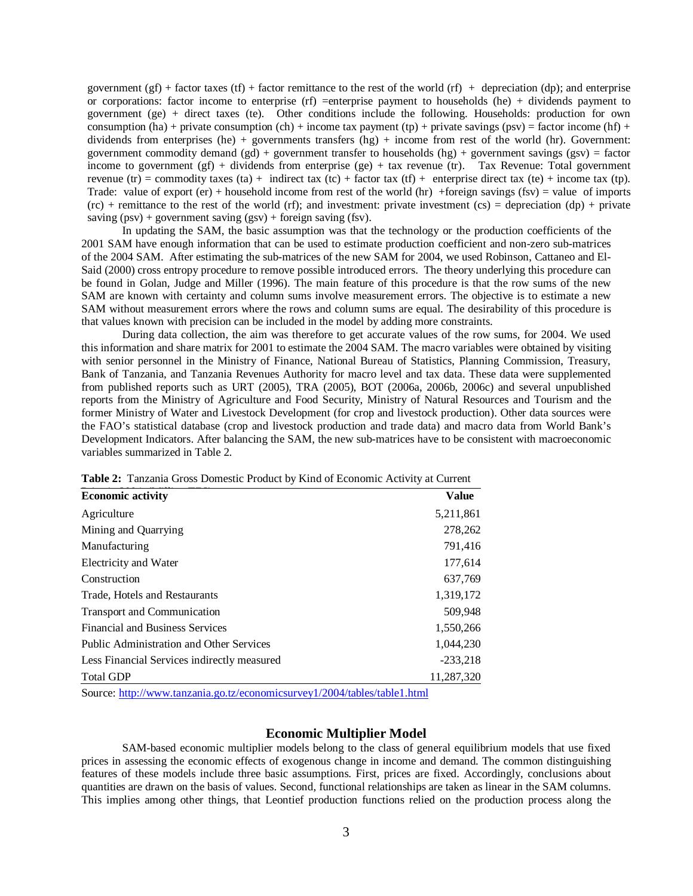government (gf) + factor taxes (tf) + factor remittance to the rest of the world (rf) + depreciation (dp); and enterprise or corporations: factor income to enterprise (rf) =enterprise payment to households (he) + dividends payment to government (ge) + direct taxes (te). Other conditions include the following. Households: production for own consumption (ha) + private consumption (ch) + income tax payment (tp) + private savings (psv) = factor income (hf) + dividends from enterprises (he) + governments transfers  $(hg)$  + income from rest of the world (hr). Government: government commodity demand (gd) + government transfer to households (hg) + government savings (gsv) = factor income to government (gf) + dividends from enterprise (ge) + tax revenue (tr). Tax Revenue: Total government revenue (tr) = commodity taxes (ta) + indirect tax (tc) + factor tax (tf) + enterprise direct tax (te) + income tax (tp). Trade: value of export (er) + household income from rest of the world (hr) +foreign savings (fsv) = value of imports  $(rc)$  + remittance to the rest of the world  $(rf)$ ; and investment: private investment  $(cs)$  = depreciation  $(dp)$  + private saving (psv) + government saving (gsv) + foreign saving (fsv).

In updating the SAM, the basic assumption was that the technology or the production coefficients of the 2001 SAM have enough information that can be used to estimate production coefficient and non-zero sub-matrices of the 2004 SAM. After estimating the sub-matrices of the new SAM for 2004, we used Robinson, Cattaneo and El-Said (2000) cross entropy procedure to remove possible introduced errors. The theory underlying this procedure can be found in Golan, Judge and Miller (1996). The main feature of this procedure is that the row sums of the new SAM are known with certainty and column sums involve measurement errors. The objective is to estimate a new SAM without measurement errors where the rows and column sums are equal. The desirability of this procedure is that values known with precision can be included in the model by adding more constraints.

During data collection, the aim was therefore to get accurate values of the row sums, for 2004. We used this information and share matrix for 2001 to estimate the 2004 SAM. The macro variables were obtained by visiting with senior personnel in the Ministry of Finance, National Bureau of Statistics, Planning Commission, Treasury, Bank of Tanzania, and Tanzania Revenues Authority for macro level and tax data. These data were supplemented from published reports such as URT (2005), TRA (2005), BOT (2006a, 2006b, 2006c) and several unpublished reports from the Ministry of Agriculture and Food Security, Ministry of Natural Resources and Tourism and the former Ministry of Water and Livestock Development (for crop and livestock production). Other data sources were the FAO's statistical database (crop and livestock production and trade data) and macro data from World Bank's Development Indicators. After balancing the SAM, the new sub-matrices have to be consistent with macroeconomic variables summarized in Table 2.

| <b>Economic activity</b>                        | <b>Value</b> |
|-------------------------------------------------|--------------|
| Agriculture                                     | 5,211,861    |
| Mining and Quarrying                            | 278,262      |
| Manufacturing                                   | 791,416      |
| Electricity and Water                           | 177,614      |
| Construction                                    | 637,769      |
| Trade, Hotels and Restaurants                   | 1,319,172    |
| Transport and Communication                     | 509,948      |
| <b>Financial and Business Services</b>          | 1,550,266    |
| <b>Public Administration and Other Services</b> | 1,044,230    |
| Less Financial Services indirectly measured     | $-233,218$   |
| <b>Total GDP</b>                                | 11,287,320   |

**Table 2:** Tanzania Gross Domestic Product by Kind of Economic Activity at Current

Source: http://www.tanzania.go.tz/economicsurvey1/2004/tables/table1.html

# **Economic Multiplier Model**

SAM-based economic multiplier models belong to the class of general equilibrium models that use fixed prices in assessing the economic effects of exogenous change in income and demand. The common distinguishing features of these models include three basic assumptions. First, prices are fixed. Accordingly, conclusions about quantities are drawn on the basis of values. Second, functional relationships are taken as linear in the SAM columns. This implies among other things, that Leontief production functions relied on the production process along the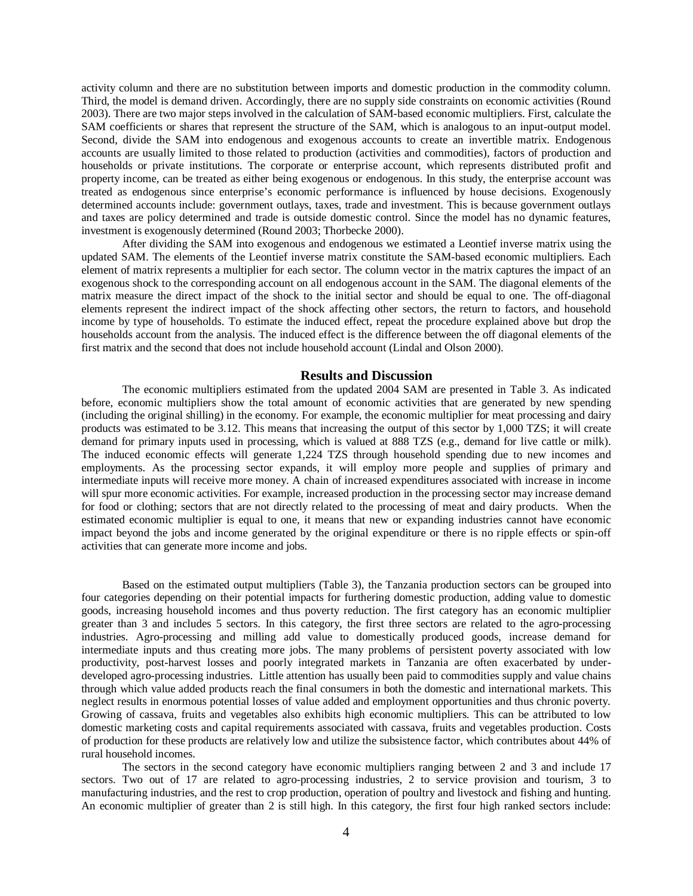activity column and there are no substitution between imports and domestic production in the commodity column. Third, the model is demand driven. Accordingly, there are no supply side constraints on economic activities (Round 2003). There are two major steps involved in the calculation of SAM-based economic multipliers. First, calculate the SAM coefficients or shares that represent the structure of the SAM, which is analogous to an input-output model. Second, divide the SAM into endogenous and exogenous accounts to create an invertible matrix. Endogenous accounts are usually limited to those related to production (activities and commodities), factors of production and households or private institutions. The corporate or enterprise account, which represents distributed profit and property income, can be treated as either being exogenous or endogenous. In this study, the enterprise account was treated as endogenous since enterprise's economic performance is influenced by house decisions. Exogenously determined accounts include: government outlays, taxes, trade and investment. This is because government outlays and taxes are policy determined and trade is outside domestic control. Since the model has no dynamic features, investment is exogenously determined (Round 2003; Thorbecke 2000).

After dividing the SAM into exogenous and endogenous we estimated a Leontief inverse matrix using the updated SAM. The elements of the Leontief inverse matrix constitute the SAM-based economic multipliers. Each element of matrix represents a multiplier for each sector. The column vector in the matrix captures the impact of an exogenous shock to the corresponding account on all endogenous account in the SAM. The diagonal elements of the matrix measure the direct impact of the shock to the initial sector and should be equal to one. The off-diagonal elements represent the indirect impact of the shock affecting other sectors, the return to factors, and household income by type of households. To estimate the induced effect, repeat the procedure explained above but drop the households account from the analysis. The induced effect is the difference between the off diagonal elements of the first matrix and the second that does not include household account (Lindal and Olson 2000).

## **Results and Discussion**

The economic multipliers estimated from the updated 2004 SAM are presented in Table 3. As indicated before, economic multipliers show the total amount of economic activities that are generated by new spending (including the original shilling) in the economy. For example, the economic multiplier for meat processing and dairy products was estimated to be 3.12. This means that increasing the output of this sector by 1,000 TZS; it will create demand for primary inputs used in processing, which is valued at 888 TZS (e.g., demand for live cattle or milk). The induced economic effects will generate 1,224 TZS through household spending due to new incomes and employments. As the processing sector expands, it will employ more people and supplies of primary and intermediate inputs will receive more money. A chain of increased expenditures associated with increase in income will spur more economic activities. For example, increased production in the processing sector may increase demand for food or clothing; sectors that are not directly related to the processing of meat and dairy products. When the estimated economic multiplier is equal to one, it means that new or expanding industries cannot have economic impact beyond the jobs and income generated by the original expenditure or there is no ripple effects or spin-off activities that can generate more income and jobs.

Based on the estimated output multipliers (Table 3), the Tanzania production sectors can be grouped into four categories depending on their potential impacts for furthering domestic production, adding value to domestic goods, increasing household incomes and thus poverty reduction. The first category has an economic multiplier greater than 3 and includes 5 sectors. In this category, the first three sectors are related to the agro-processing industries. Agro-processing and milling add value to domestically produced goods, increase demand for intermediate inputs and thus creating more jobs. The many problems of persistent poverty associated with low productivity, post-harvest losses and poorly integrated markets in Tanzania are often exacerbated by underdeveloped agro-processing industries. Little attention has usually been paid to commodities supply and value chains through which value added products reach the final consumers in both the domestic and international markets. This neglect results in enormous potential losses of value added and employment opportunities and thus chronic poverty. Growing of cassava, fruits and vegetables also exhibits high economic multipliers. This can be attributed to low domestic marketing costs and capital requirements associated with cassava, fruits and vegetables production. Costs of production for these products are relatively low and utilize the subsistence factor, which contributes about 44% of rural household incomes.

The sectors in the second category have economic multipliers ranging between 2 and 3 and include 17 sectors. Two out of 17 are related to agro-processing industries, 2 to service provision and tourism, 3 to manufacturing industries, and the rest to crop production, operation of poultry and livestock and fishing and hunting. An economic multiplier of greater than 2 is still high. In this category, the first four high ranked sectors include: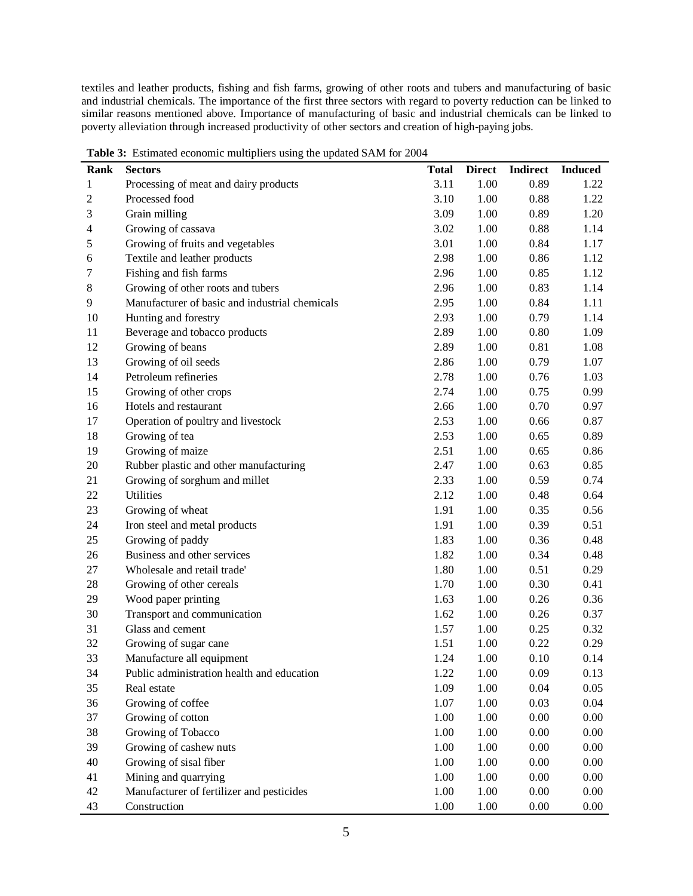textiles and leather products, fishing and fish farms, growing of other roots and tubers and manufacturing of basic and industrial chemicals. The importance of the first three sectors with regard to poverty reduction can be linked to similar reasons mentioned above. Importance of manufacturing of basic and industrial chemicals can be linked to poverty alleviation through increased productivity of other sectors and creation of high-paying jobs.

| <b>Rank</b>    | c<br><b>Sectors</b>                            | <b>Total</b> | <b>Direct</b> | <b>Indirect</b> | <b>Induced</b> |
|----------------|------------------------------------------------|--------------|---------------|-----------------|----------------|
| $\mathbf{1}$   | Processing of meat and dairy products          | 3.11         | 1.00          | 0.89            | 1.22           |
| $\mathfrak{2}$ | Processed food                                 | 3.10         | 1.00          | 0.88            | 1.22           |
| 3              | Grain milling                                  | 3.09         | 1.00          | 0.89            | 1.20           |
| 4              | Growing of cassava                             | 3.02         | 1.00          | 0.88            | 1.14           |
| 5              | Growing of fruits and vegetables               | 3.01         | 1.00          | 0.84            | 1.17           |
| 6              | Textile and leather products                   | 2.98         | 1.00          | 0.86            | 1.12           |
| 7              | Fishing and fish farms                         | 2.96         | 1.00          | 0.85            | 1.12           |
| $8\,$          | Growing of other roots and tubers              | 2.96         | 1.00          | 0.83            | 1.14           |
| 9              | Manufacturer of basic and industrial chemicals | 2.95         | 1.00          | 0.84            | 1.11           |
| 10             | Hunting and forestry                           | 2.93         | 1.00          | 0.79            | 1.14           |
| 11             | Beverage and tobacco products                  | 2.89         | 1.00          | 0.80            | 1.09           |
| 12             | Growing of beans                               | 2.89         | 1.00          | 0.81            | 1.08           |
| 13             | Growing of oil seeds                           | 2.86         | 1.00          | 0.79            | 1.07           |
| 14             | Petroleum refineries                           | 2.78         | 1.00          | 0.76            | 1.03           |
| 15             | Growing of other crops                         | 2.74         | 1.00          | 0.75            | 0.99           |
| 16             | Hotels and restaurant                          | 2.66         | 1.00          | 0.70            | 0.97           |
| 17             | Operation of poultry and livestock             | 2.53         | 1.00          | 0.66            | 0.87           |
| 18             | Growing of tea                                 | 2.53         | 1.00          | 0.65            | 0.89           |
| 19             | Growing of maize                               | 2.51         | 1.00          | 0.65            | 0.86           |
| 20             | Rubber plastic and other manufacturing         | 2.47         | 1.00          | 0.63            | 0.85           |
| 21             | Growing of sorghum and millet                  | 2.33         | 1.00          | 0.59            | 0.74           |
| 22             | Utilities                                      | 2.12         | 1.00          | 0.48            | 0.64           |
| 23             | Growing of wheat                               | 1.91         | 1.00          | 0.35            | 0.56           |
| 24             | Iron steel and metal products                  | 1.91         | 1.00          | 0.39            | 0.51           |
| 25             | Growing of paddy                               | 1.83         | 1.00          | 0.36            | 0.48           |
| 26             | Business and other services                    | 1.82         | 1.00          | 0.34            | 0.48           |
| 27             | Wholesale and retail trade'                    | 1.80         | 1.00          | 0.51            | 0.29           |
| 28             | Growing of other cereals                       | 1.70         | 1.00          | 0.30            | 0.41           |
| 29             | Wood paper printing                            | 1.63         | 1.00          | 0.26            | 0.36           |
| 30             | Transport and communication                    | 1.62         | 1.00          | 0.26            | 0.37           |
| 31             | Glass and cement                               | 1.57         | 1.00          | 0.25            | 0.32           |
| 32             | Growing of sugar cane                          | 1.51         | 1.00          | 0.22            | 0.29           |
| 33             | Manufacture all equipment                      | 1.24         | 1.00          | 0.10            | 0.14           |
| 34             | Public administration health and education     | 1.22         | 1.00          | 0.09            | 0.13           |
| 35             | Real estate                                    | 1.09         | 1.00          | 0.04            | 0.05           |
| 36             | Growing of coffee                              | 1.07         | 1.00          | 0.03            | 0.04           |
| 37             | Growing of cotton                              | 1.00         | 1.00          | 0.00            | 0.00           |
| 38             | Growing of Tobacco                             | 1.00         | 1.00          | 0.00            | 0.00           |
| 39             | Growing of cashew nuts                         | 1.00         | 1.00          | 0.00            | 0.00           |
| 40             | Growing of sisal fiber                         | 1.00         | 1.00          | 0.00            | 0.00           |
| 41             | Mining and quarrying                           | 1.00         | 1.00          | 0.00            | 0.00           |
| 42             | Manufacturer of fertilizer and pesticides      | 1.00         | 1.00          | 0.00            | 0.00           |
| 43             | Construction                                   | 1.00         | 1.00          | 0.00            | 0.00           |

**Table 3:** Estimated economic multipliers using the updated SAM for 2004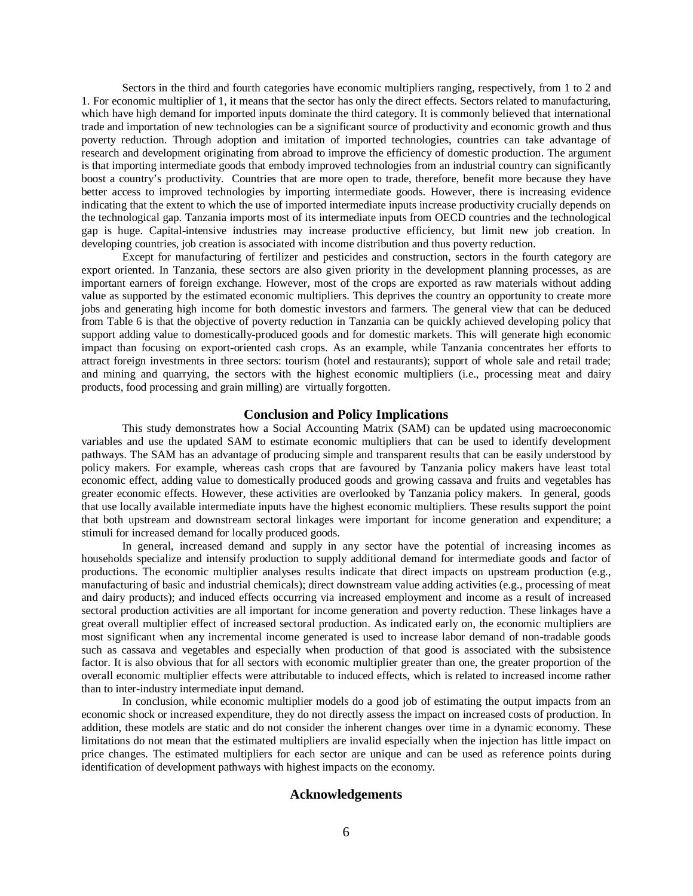Sectors in the third and fourth categories have economic multipliers ranging, respectively, from 1 to 2 and 1. For economic multiplier of 1, it means that the sector has only the direct effects. Sectors related to manufacturing, which have high demand for imported inputs dominate the third category. It is commonly believed that international trade and importation of new technologies can be a significant source of productivity and economic growth and thus poverty reduction. Through adoption and imitation of imported technologies, countries can take advantage of research and development originating from abroad to improve the efficiency of domestic production. The argument is that importing intermediate goods that embody improved technologies from an industrial country can significantly boost a country's productivity. Countries that are more open to trade, therefore, benefit more because they have better access to improved technologies by importing intermediate goods. However, there is increasing evidence indicating that the extent to which the use of imported intermediate inputs increase productivity crucially depends on the technological gap. Tanzania imports most of its intermediate inputs from OECD countries and the technological gap is huge. Capital-intensive industries may increase productive efficiency, but limit new job creation. In developing countries, job creation is associated with income distribution and thus poverty reduction.

Except for manufacturing of fertilizer and pesticides and construction, sectors in the fourth category are export oriented. In Tanzania, these sectors are also given priority in the development planning processes, as are important earners of foreign exchange. However, most of the crops are exported as raw materials without adding value as supported by the estimated economic multipliers. This deprives the country an opportunity to create more jobs and generating high income for both domestic investors and farmers. The general view that can be deduced from Table 6 is that the objective of poverty reduction in Tanzania can be quickly achieved developing policy that support adding value to domestically-produced goods and for domestic markets. This will generate high economic impact than focusing on export-oriented cash crops. As an example, while Tanzania concentrates her efforts to attract foreign investments in three sectors: tourism (hotel and restaurants); support of whole sale and retail trade; and mining and quarrying, the sectors with the highest economic multipliers (i.e., processing meat and dairy products, food processing and grain milling) are virtually forgotten.

### **Conclusion and Policy Implications**

This study demonstrates how a Social Accounting Matrix (SAM) can be updated using macroeconomic variables and use the updated SAM to estimate economic multipliers that can be used to identify development pathways. The SAM has an advantage of producing simple and transparent results that can be easily understood by policy makers. For example, whereas cash crops that are favoured by Tanzania policy makers have least total economic effect, adding value to domestically produced goods and growing cassava and fruits and vegetables has greater economic effects. However, these activities are overlooked by Tanzania policy makers. In general, goods that use locally available intermediate inputs have the highest economic multipliers. These results support the point that both upstream and downstream sectoral linkages were important for income generation and expenditure; a stimuli for increased demand for locally produced goods.

In general, increased demand and supply in any sector have the potential of increasing incomes as households specialize and intensify production to supply additional demand for intermediate goods and factor of productions. The economic multiplier analyses results indicate that direct impacts on upstream production (e.g., manufacturing of basic and industrial chemicals); direct downstream value adding activities (e.g., processing of meat and dairy products); and induced effects occurring via increased employment and income as a result of increased sectoral production activities are all important for income generation and poverty reduction. These linkages have a great overall multiplier effect of increased sectoral production. As indicated early on, the economic multipliers are most significant when any incremental income generated is used to increase labor demand of non-tradable goods such as cassava and vegetables and especially when production of that good is associated with the subsistence factor. It is also obvious that for all sectors with economic multiplier greater than one, the greater proportion of the overall economic multiplier effects were attributable to induced effects, which is related to increased income rather than to inter-industry intermediate input demand.

In conclusion, while economic multiplier models do a good job of estimating the output impacts from an economic shock or increased expenditure, they do not directly assess the impact on increased costs of production. In addition, these models are static and do not consider the inherent changes over time in a dynamic economy. These limitations do not mean that the estimated multipliers are invalid especially when the injection has little impact on price changes. The estimated multipliers for each sector are unique and can be used as reference points during identification of development pathways with highest impacts on the economy.

### **Acknowledgements**